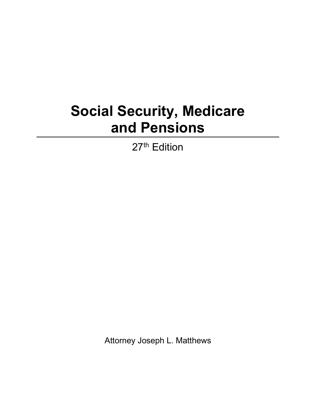## **Social Security, Medicare and Pensions**

27<sup>th</sup> Edition

Attorney Joseph L. Matthews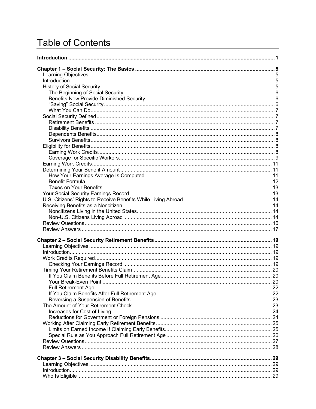## **Table of Contents**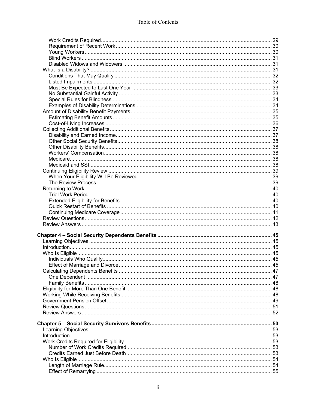| Chapter 4 – Social Security Dependents Benefits ……………………………………………………………………45 |  |
|------------------------------------------------------------------------------|--|
|                                                                              |  |
|                                                                              |  |
|                                                                              |  |
|                                                                              |  |
|                                                                              |  |
|                                                                              |  |
|                                                                              |  |
|                                                                              |  |
|                                                                              |  |
|                                                                              |  |
|                                                                              |  |
|                                                                              |  |
|                                                                              |  |
|                                                                              |  |
|                                                                              |  |
|                                                                              |  |
|                                                                              |  |
|                                                                              |  |
|                                                                              |  |
|                                                                              |  |
|                                                                              |  |
|                                                                              |  |
|                                                                              |  |
|                                                                              |  |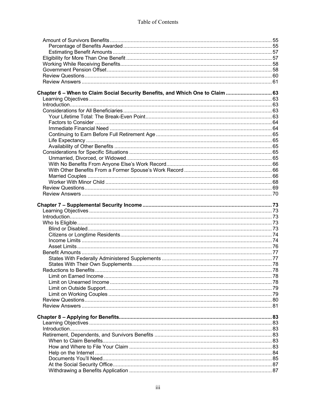| Chapter 6 - When to Claim Social Security Benefits, and Which One to Claim  63 |  |
|--------------------------------------------------------------------------------|--|
|                                                                                |  |
|                                                                                |  |
|                                                                                |  |
|                                                                                |  |
|                                                                                |  |
|                                                                                |  |
|                                                                                |  |
|                                                                                |  |
|                                                                                |  |
|                                                                                |  |
|                                                                                |  |
|                                                                                |  |
|                                                                                |  |
|                                                                                |  |
|                                                                                |  |
|                                                                                |  |
|                                                                                |  |
|                                                                                |  |
|                                                                                |  |
|                                                                                |  |
|                                                                                |  |
|                                                                                |  |
|                                                                                |  |
|                                                                                |  |
|                                                                                |  |
|                                                                                |  |
|                                                                                |  |
|                                                                                |  |
|                                                                                |  |
|                                                                                |  |
|                                                                                |  |
|                                                                                |  |
|                                                                                |  |
|                                                                                |  |
|                                                                                |  |
|                                                                                |  |
|                                                                                |  |
|                                                                                |  |
|                                                                                |  |
|                                                                                |  |
|                                                                                |  |
|                                                                                |  |
|                                                                                |  |
|                                                                                |  |
|                                                                                |  |
|                                                                                |  |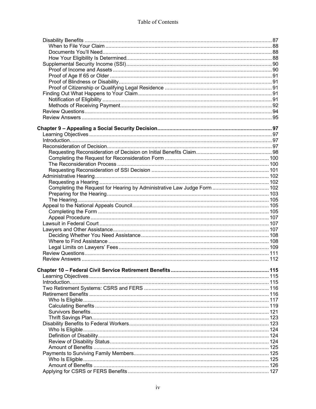| Chapter 10 – Federal Civil Service Retirement Benefits…………………………………………………………………115 |  |
|------------------------------------------------------------------------------------|--|
|                                                                                    |  |
|                                                                                    |  |
|                                                                                    |  |
|                                                                                    |  |
|                                                                                    |  |
|                                                                                    |  |
|                                                                                    |  |
|                                                                                    |  |
|                                                                                    |  |
|                                                                                    |  |
|                                                                                    |  |
|                                                                                    |  |
|                                                                                    |  |
|                                                                                    |  |
|                                                                                    |  |
|                                                                                    |  |
|                                                                                    |  |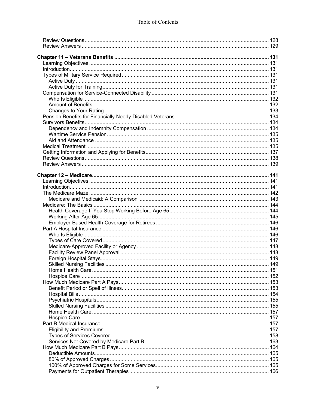|                                                                 | 157 |
|-----------------------------------------------------------------|-----|
|                                                                 |     |
| Types of Services Covered………………………………………………………………………………………… 158 |     |
|                                                                 |     |
|                                                                 |     |
|                                                                 |     |
|                                                                 |     |
|                                                                 |     |
|                                                                 |     |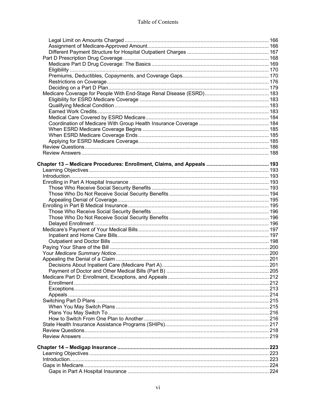| Chapter 13 – Medicare Procedures: Enrollment, Claims, and Appeals ……………………………………… 193 |  |
|---------------------------------------------------------------------------------------|--|
|                                                                                       |  |
|                                                                                       |  |
|                                                                                       |  |
|                                                                                       |  |
|                                                                                       |  |
|                                                                                       |  |
|                                                                                       |  |
|                                                                                       |  |
|                                                                                       |  |
|                                                                                       |  |
|                                                                                       |  |
|                                                                                       |  |
|                                                                                       |  |
|                                                                                       |  |
|                                                                                       |  |
|                                                                                       |  |
|                                                                                       |  |
|                                                                                       |  |
|                                                                                       |  |
|                                                                                       |  |
|                                                                                       |  |
|                                                                                       |  |
|                                                                                       |  |
|                                                                                       |  |
|                                                                                       |  |
|                                                                                       |  |
|                                                                                       |  |
|                                                                                       |  |
|                                                                                       |  |
|                                                                                       |  |
|                                                                                       |  |
|                                                                                       |  |
|                                                                                       |  |
|                                                                                       |  |
|                                                                                       |  |
|                                                                                       |  |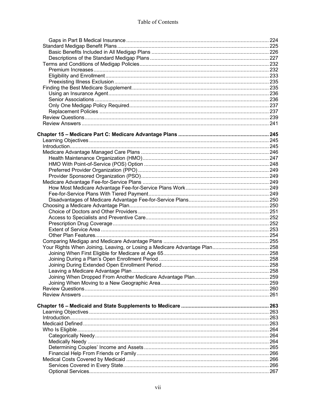| Chapter 15 – Medicare Part C: Medicare Advantage Plans ……………………………………………………… 245 |  |
|----------------------------------------------------------------------------------|--|
|                                                                                  |  |
|                                                                                  |  |
|                                                                                  |  |
|                                                                                  |  |
|                                                                                  |  |
|                                                                                  |  |
|                                                                                  |  |
|                                                                                  |  |
|                                                                                  |  |
|                                                                                  |  |
|                                                                                  |  |
|                                                                                  |  |
|                                                                                  |  |
|                                                                                  |  |
|                                                                                  |  |
|                                                                                  |  |
|                                                                                  |  |
|                                                                                  |  |
|                                                                                  |  |
|                                                                                  |  |
|                                                                                  |  |
|                                                                                  |  |
|                                                                                  |  |
|                                                                                  |  |
|                                                                                  |  |
|                                                                                  |  |
|                                                                                  |  |
|                                                                                  |  |
|                                                                                  |  |
|                                                                                  |  |
|                                                                                  |  |
|                                                                                  |  |
|                                                                                  |  |
|                                                                                  |  |
|                                                                                  |  |
|                                                                                  |  |
|                                                                                  |  |
|                                                                                  |  |
|                                                                                  |  |
|                                                                                  |  |
|                                                                                  |  |
|                                                                                  |  |
|                                                                                  |  |
|                                                                                  |  |
|                                                                                  |  |